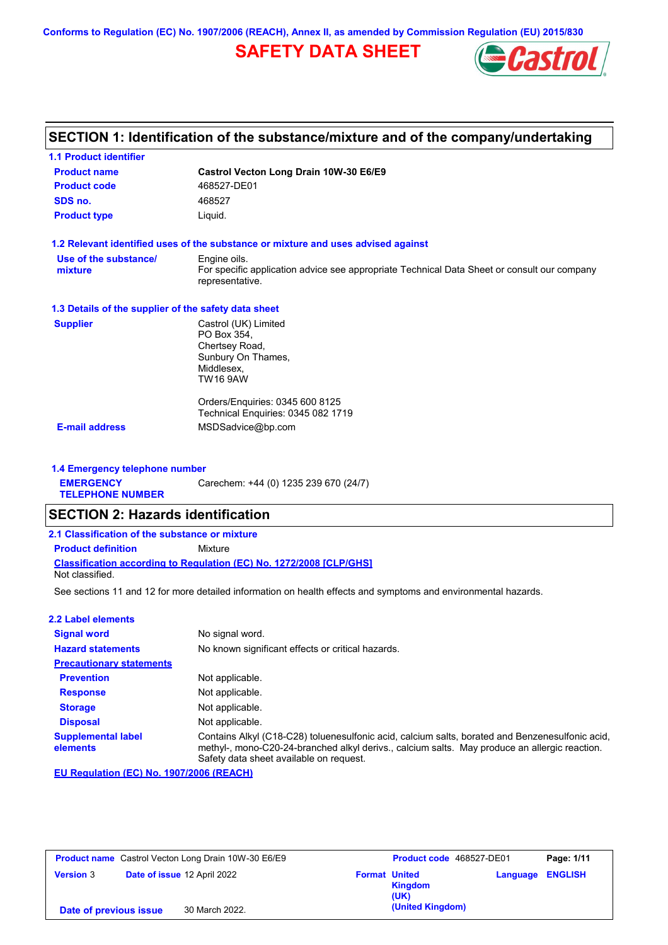**Conforms to Regulation (EC) No. 1907/2006 (REACH), Annex II, as amended by Commission Regulation (EU) 2015/830**

# **SAFETY DATA SHEET**



## **SECTION 1: Identification of the substance/mixture and of the company/undertaking**

| <b>1.1 Product identifier</b>                        |                                                                                                                                |
|------------------------------------------------------|--------------------------------------------------------------------------------------------------------------------------------|
| <b>Product name</b>                                  | Castrol Vecton Long Drain 10W-30 E6/E9                                                                                         |
| <b>Product code</b>                                  | 468527-DE01                                                                                                                    |
| SDS no.                                              | 468527                                                                                                                         |
| <b>Product type</b>                                  | Liquid.                                                                                                                        |
|                                                      | 1.2 Relevant identified uses of the substance or mixture and uses advised against                                              |
| Use of the substance/<br>mixture                     | Engine oils.<br>For specific application advice see appropriate Technical Data Sheet or consult our company<br>representative. |
| 1.3 Details of the supplier of the safety data sheet |                                                                                                                                |
| <b>Supplier</b>                                      | Castrol (UK) Limited<br>PO Box 354.<br>Chertsey Road,<br>Sunbury On Thames,<br>Middlesex,<br>TW16 9AW                          |
|                                                      | Orders/Enguiries: 0345 600 8125<br>Technical Enquiries: 0345 082 1719                                                          |
| <b>E-mail address</b>                                | MSDSadvice@bp.com                                                                                                              |

**1.4 Emergency telephone number EMERGENCY TELEPHONE NUMBER** Carechem: +44 (0) 1235 239 670 (24/7)

### **SECTION 2: Hazards identification**

**Classification according to Regulation (EC) No. 1272/2008 [CLP/GHS] 2.1 Classification of the substance or mixture Product definition** Mixture Not classified.

See sections 11 and 12 for more detailed information on health effects and symptoms and environmental hazards.

| 2.2 Label elements                    |                                                                                                                                                                                                                                             |
|---------------------------------------|---------------------------------------------------------------------------------------------------------------------------------------------------------------------------------------------------------------------------------------------|
| <b>Signal word</b>                    | No signal word.                                                                                                                                                                                                                             |
| <b>Hazard statements</b>              | No known significant effects or critical hazards.                                                                                                                                                                                           |
| <b>Precautionary statements</b>       |                                                                                                                                                                                                                                             |
| <b>Prevention</b>                     | Not applicable.                                                                                                                                                                                                                             |
| <b>Response</b>                       | Not applicable.                                                                                                                                                                                                                             |
| <b>Storage</b>                        | Not applicable.                                                                                                                                                                                                                             |
| <b>Disposal</b>                       | Not applicable.                                                                                                                                                                                                                             |
| <b>Supplemental label</b><br>elements | Contains Alkyl (C18-C28) toluenesulfonic acid, calcium salts, borated and Benzenesulfonic acid,<br>methyl-, mono-C20-24-branched alkyl derivs., calcium salts. May produce an allergic reaction.<br>Safety data sheet available on request. |

**EU Regulation (EC) No. 1907/2006 (REACH)**

| <b>Product name</b> Castrol Vecton Long Drain 10W-30 E6/E9 |                             | <b>Product code</b> 468527-DE01 |                      | Page: 1/11             |                         |  |
|------------------------------------------------------------|-----------------------------|---------------------------------|----------------------|------------------------|-------------------------|--|
| <b>Version 3</b>                                           | Date of issue 12 April 2022 |                                 | <b>Format United</b> | <b>Kingdom</b><br>(UK) | <b>Language ENGLISH</b> |  |
| Date of previous issue                                     |                             | 30 March 2022.                  |                      | (United Kingdom)       |                         |  |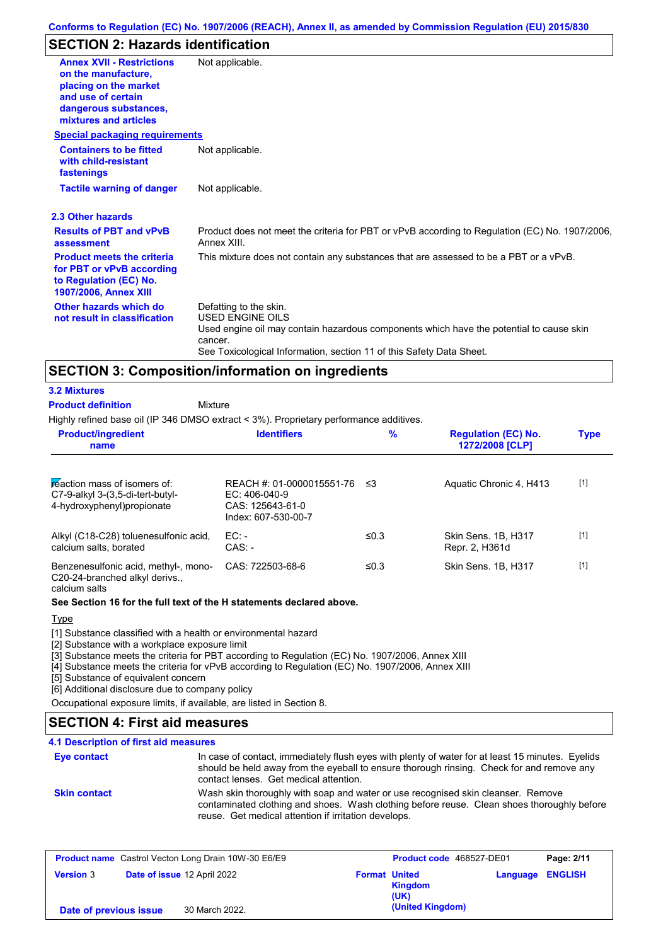## **SECTION 2: Hazards identification**

| <b>Annex XVII - Restrictions</b><br>on the manufacture,<br>placing on the market<br>and use of certain                   | Not applicable.                                                                                                                                                                                                                 |
|--------------------------------------------------------------------------------------------------------------------------|---------------------------------------------------------------------------------------------------------------------------------------------------------------------------------------------------------------------------------|
| dangerous substances,<br>mixtures and articles                                                                           |                                                                                                                                                                                                                                 |
| <b>Special packaging requirements</b>                                                                                    |                                                                                                                                                                                                                                 |
| <b>Containers to be fitted</b><br>with child-resistant<br>fastenings                                                     | Not applicable.                                                                                                                                                                                                                 |
| <b>Tactile warning of danger</b>                                                                                         | Not applicable.                                                                                                                                                                                                                 |
| 2.3 Other hazards                                                                                                        |                                                                                                                                                                                                                                 |
| <b>Results of PBT and vPvB</b><br>assessment                                                                             | Product does not meet the criteria for PBT or vPvB according to Regulation (EC) No. 1907/2006,<br>Annex XIII.                                                                                                                   |
| <b>Product meets the criteria</b><br>for PBT or vPvB according<br>to Regulation (EC) No.<br><b>1907/2006, Annex XIII</b> | This mixture does not contain any substances that are assessed to be a PBT or a vPvB.                                                                                                                                           |
| Other hazards which do<br>not result in classification                                                                   | Defatting to the skin.<br><b>USED ENGINE OILS</b><br>Used engine oil may contain hazardous components which have the potential to cause skin<br>cancer.<br>See Toxicological Information, section 11 of this Safety Data Sheet. |

### **SECTION 3: Composition/information on ingredients**

#### Mixture **3.2 Mixtures Product definition**

Highly refined base oil (IP 346 DMSO extract < 3%). Proprietary performance additives.

| <b>Product/ingredient</b><br>name                                                               | <b>Identifiers</b>                                                                      | $\%$    | <b>Regulation (EC) No.</b><br>1272/2008 [CLP] | <b>Type</b> |
|-------------------------------------------------------------------------------------------------|-----------------------------------------------------------------------------------------|---------|-----------------------------------------------|-------------|
| reaction mass of isomers of:<br>C7-9-alkyl 3-(3,5-di-tert-butyl-<br>4-hydroxyphenyl) propionate | REACH #: 01-0000015551-76<br>$EC: 406-040-9$<br>CAS: 125643-61-0<br>Index: 607-530-00-7 | ≤3      | Aquatic Chronic 4, H413                       | $[1]$       |
| Alkyl (C18-C28) toluenesulfonic acid,<br>calcium salts, borated                                 | $EC:$ -<br>$CAS: -$                                                                     | ≤ $0.3$ | Skin Sens, 1B, H317<br>Repr. 2, H361d         | $[1]$       |
| Benzenesulfonic acid, methyl-, mono-<br>COO Of bropobod olled derive                            | CAS: 722503-68-6                                                                        | ≤0.3    | Skin Sens. 1B, H317                           | $[1]$       |

C20-24-branched alkyl derivs., calcium salts

#### **See Section 16 for the full text of the H statements declared above.**

Type

[1] Substance classified with a health or environmental hazard

[2] Substance with a workplace exposure limit

[3] Substance meets the criteria for PBT according to Regulation (EC) No. 1907/2006, Annex XIII

[4] Substance meets the criteria for vPvB according to Regulation (EC) No. 1907/2006, Annex XIII

[5] Substance of equivalent concern

[6] Additional disclosure due to company policy

Occupational exposure limits, if available, are listed in Section 8.

## **SECTION 4: First aid measures**

### **4.1 Description of first aid measures**

#### In case of contact, immediately flush eyes with plenty of water for at least 15 minutes. Eyelids should be held away from the eyeball to ensure thorough rinsing. Check for and remove any contact lenses. Get medical attention. **Eye contact Skin contact** Wash skin thoroughly with soap and water or use recognised skin cleanser. Remove contaminated clothing and shoes. Wash clothing before reuse. Clean shoes thoroughly before reuse. Get medical attention if irritation develops.

| <b>Product name</b> Castrol Vecton Long Drain 10W-30 E6/E9 |                             | Product code 468527-DE01 |                        | Page: 2/11              |  |
|------------------------------------------------------------|-----------------------------|--------------------------|------------------------|-------------------------|--|
| <b>Version 3</b>                                           | Date of issue 12 April 2022 | <b>Format United</b>     | <b>Kingdom</b><br>(UK) | <b>Language ENGLISH</b> |  |
| Date of previous issue                                     | 30 March 2022.              |                          | (United Kingdom)       |                         |  |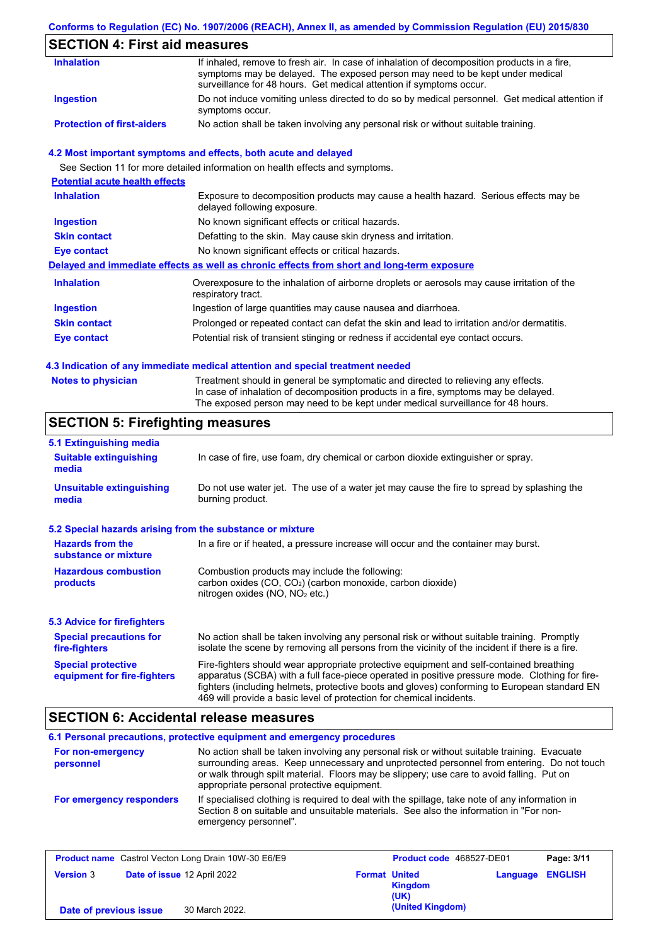## **Conforms to Regulation (EC) No. 1907/2006 (REACH), Annex II, as amended by Commission Regulation (EU) 2015/830**

# **SECTION 4: First aid measures**

| <b>Inhalation</b>                 | If inhaled, remove to fresh air. In case of inhalation of decomposition products in a fire,<br>symptoms may be delayed. The exposed person may need to be kept under medical<br>surveillance for 48 hours. Get medical attention if symptoms occur. |
|-----------------------------------|-----------------------------------------------------------------------------------------------------------------------------------------------------------------------------------------------------------------------------------------------------|
| <b>Ingestion</b>                  | Do not induce vomiting unless directed to do so by medical personnel. Get medical attention if<br>symptoms occur.                                                                                                                                   |
| <b>Protection of first-aiders</b> | No action shall be taken involving any personal risk or without suitable training.                                                                                                                                                                  |

### **4.2 Most important symptoms and effects, both acute and delayed**

See Section 11 for more detailed information on health effects and symptoms.

| <b>Potential acute health effects</b> |                                                                                                                     |
|---------------------------------------|---------------------------------------------------------------------------------------------------------------------|
| <b>Inhalation</b>                     | Exposure to decomposition products may cause a health hazard. Serious effects may be<br>delayed following exposure. |
| <b>Ingestion</b>                      | No known significant effects or critical hazards.                                                                   |
| <b>Skin contact</b>                   | Defatting to the skin. May cause skin dryness and irritation.                                                       |
| Eye contact                           | No known significant effects or critical hazards.                                                                   |
|                                       | Delayed and immediate effects as well as chronic effects from short and long-term exposure                          |
| <b>Inhalation</b>                     | Overexposure to the inhalation of airborne droplets or aerosols may cause irritation of the<br>respiratory tract.   |
| <b>Ingestion</b>                      | Ingestion of large quantities may cause nausea and diarrhoea.                                                       |
| <b>Skin contact</b>                   | Prolonged or repeated contact can defat the skin and lead to irritation and/or dermatitis.                          |
| Eye contact                           | Potential risk of transient stinging or redness if accidental eye contact occurs.                                   |
|                                       |                                                                                                                     |

### **4.3 Indication of any immediate medical attention and special treatment needed**

| <b>Notes to physician</b> | Treatment should in general be symptomatic and directed to relieving any effects.   |
|---------------------------|-------------------------------------------------------------------------------------|
|                           | In case of inhalation of decomposition products in a fire, symptoms may be delayed. |
|                           | The exposed person may need to be kept under medical surveillance for 48 hours.     |

## **SECTION 5: Firefighting measures**

| 5.1 Extinguishing media                                   |                                                                                                                                                                                                                                                                                                                                                                   |
|-----------------------------------------------------------|-------------------------------------------------------------------------------------------------------------------------------------------------------------------------------------------------------------------------------------------------------------------------------------------------------------------------------------------------------------------|
| <b>Suitable extinguishing</b><br>media                    | In case of fire, use foam, dry chemical or carbon dioxide extinguisher or spray.                                                                                                                                                                                                                                                                                  |
| <b>Unsuitable extinguishing</b><br>media                  | Do not use water jet. The use of a water jet may cause the fire to spread by splashing the<br>burning product.                                                                                                                                                                                                                                                    |
| 5.2 Special hazards arising from the substance or mixture |                                                                                                                                                                                                                                                                                                                                                                   |
| <b>Hazards from the</b><br>substance or mixture           | In a fire or if heated, a pressure increase will occur and the container may burst.                                                                                                                                                                                                                                                                               |
| <b>Hazardous combustion</b><br>products                   | Combustion products may include the following:<br>carbon oxides $(CO, CO2)$ (carbon monoxide, carbon dioxide)<br>nitrogen oxides ( $NO$ , $NO2$ etc.)                                                                                                                                                                                                             |
| <b>5.3 Advice for firefighters</b>                        |                                                                                                                                                                                                                                                                                                                                                                   |
| <b>Special precautions for</b><br>fire-fighters           | No action shall be taken involving any personal risk or without suitable training. Promptly<br>isolate the scene by removing all persons from the vicinity of the incident if there is a fire.                                                                                                                                                                    |
| <b>Special protective</b><br>equipment for fire-fighters  | Fire-fighters should wear appropriate protective equipment and self-contained breathing<br>apparatus (SCBA) with a full face-piece operated in positive pressure mode. Clothing for fire-<br>fighters (including helmets, protective boots and gloves) conforming to European standard EN<br>469 will provide a basic level of protection for chemical incidents. |

## **SECTION 6: Accidental release measures**

|                                | 6.1 Personal precautions, protective equipment and emergency procedures                                                                                                                                                                                                                                                             |
|--------------------------------|-------------------------------------------------------------------------------------------------------------------------------------------------------------------------------------------------------------------------------------------------------------------------------------------------------------------------------------|
| For non-emergency<br>personnel | No action shall be taken involving any personal risk or without suitable training. Evacuate<br>surrounding areas. Keep unnecessary and unprotected personnel from entering. Do not touch<br>or walk through spilt material. Floors may be slippery; use care to avoid falling. Put on<br>appropriate personal protective equipment. |
| For emergency responders       | If specialised clothing is required to deal with the spillage, take note of any information in<br>Section 8 on suitable and unsuitable materials. See also the information in "For non-<br>emergency personnel".                                                                                                                    |

| <b>Product name</b> Castrol Vecton Long Drain 10W-30 E6/E9 |                             | Product code 468527-DE01 |                                                | Page: 3/11              |  |
|------------------------------------------------------------|-----------------------------|--------------------------|------------------------------------------------|-------------------------|--|
| <b>Version 3</b>                                           | Date of issue 12 April 2022 |                          | <b>Format United</b><br><b>Kingdom</b><br>(UK) | <b>Language ENGLISH</b> |  |
| Date of previous issue                                     | 30 March 2022.              |                          | (United Kingdom)                               |                         |  |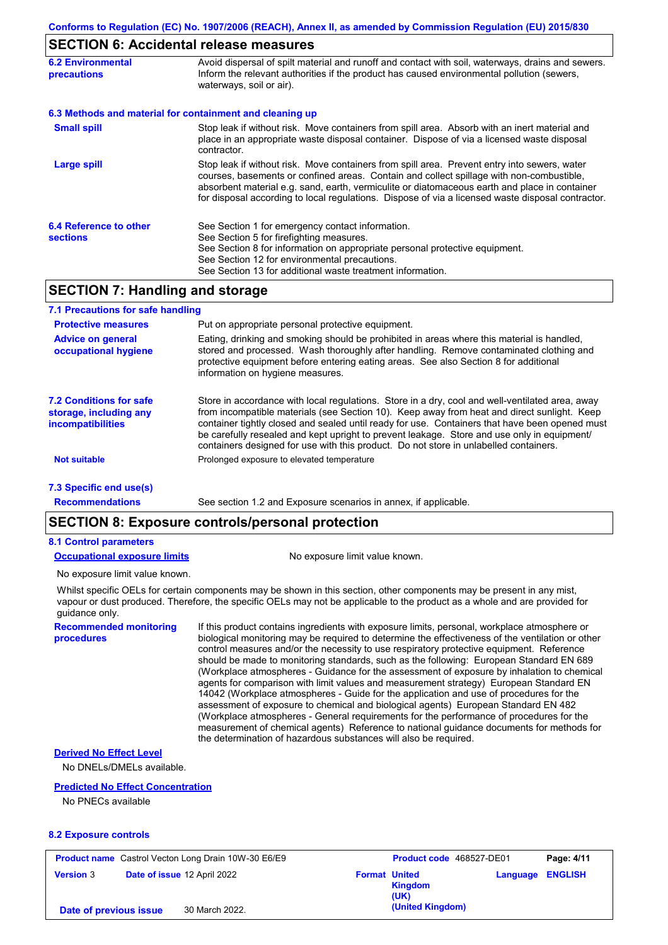## **SECTION 6: Accidental release measures**

| <b>6.2 Environmental</b><br><b>precautions</b> | Avoid dispersal of spilt material and runoff and contact with soil, waterways, drains and sewers.<br>Inform the relevant authorities if the product has caused environmental pollution (sewers,<br>waterways, soil or air).                                                                                                                                                                    |
|------------------------------------------------|------------------------------------------------------------------------------------------------------------------------------------------------------------------------------------------------------------------------------------------------------------------------------------------------------------------------------------------------------------------------------------------------|
|                                                | 6.3 Methods and material for containment and cleaning up                                                                                                                                                                                                                                                                                                                                       |
| <b>Small spill</b>                             | Stop leak if without risk. Move containers from spill area. Absorb with an inert material and<br>place in an appropriate waste disposal container. Dispose of via a licensed waste disposal<br>contractor.                                                                                                                                                                                     |
| Large spill                                    | Stop leak if without risk. Move containers from spill area. Prevent entry into sewers, water<br>courses, basements or confined areas. Contain and collect spillage with non-combustible,<br>absorbent material e.g. sand, earth, vermiculite or diatomaceous earth and place in container<br>for disposal according to local regulations. Dispose of via a licensed waste disposal contractor. |
| 6.4 Reference to other<br><b>sections</b>      | See Section 1 for emergency contact information.<br>See Section 5 for firefighting measures.<br>See Section 8 for information on appropriate personal protective equipment.<br>See Section 12 for environmental precautions.<br>See Section 13 for additional waste treatment information.                                                                                                     |

## **SECTION 7: Handling and storage**

| 7.1 Precautions for safe handling                                      |                                                                                                                                                                                                                                                                                                                                                                                                                                                                                          |
|------------------------------------------------------------------------|------------------------------------------------------------------------------------------------------------------------------------------------------------------------------------------------------------------------------------------------------------------------------------------------------------------------------------------------------------------------------------------------------------------------------------------------------------------------------------------|
| <b>Protective measures</b>                                             | Put on appropriate personal protective equipment.                                                                                                                                                                                                                                                                                                                                                                                                                                        |
| <b>Advice on general</b><br>occupational hygiene                       | Eating, drinking and smoking should be prohibited in areas where this material is handled,<br>stored and processed. Wash thoroughly after handling. Remove contaminated clothing and<br>protective equipment before entering eating areas. See also Section 8 for additional<br>information on hygiene measures.                                                                                                                                                                         |
| 7.2 Conditions for safe<br>storage, including any<br>incompatibilities | Store in accordance with local requlations. Store in a dry, cool and well-ventilated area, away<br>from incompatible materials (see Section 10). Keep away from heat and direct sunlight. Keep<br>container tightly closed and sealed until ready for use. Containers that have been opened must<br>be carefully resealed and kept upright to prevent leakage. Store and use only in equipment/<br>containers designed for use with this product. Do not store in unlabelled containers. |
| <b>Not suitable</b>                                                    | Prolonged exposure to elevated temperature                                                                                                                                                                                                                                                                                                                                                                                                                                               |
| 7.3 Specific end use(s)                                                |                                                                                                                                                                                                                                                                                                                                                                                                                                                                                          |
| <b>Recommendations</b>                                                 | See section 1.2 and Exposure scenarios in annex, if applicable.                                                                                                                                                                                                                                                                                                                                                                                                                          |

### **SECTION 8: Exposure controls/personal protection**

#### **8.1 Control parameters**

**Occupational exposure limits** No exposure limit value known.

No exposure limit value known.

Whilst specific OELs for certain components may be shown in this section, other components may be present in any mist, vapour or dust produced. Therefore, the specific OELs may not be applicable to the product as a whole and are provided for guidance only.

**Recommended monitoring procedures**

If this product contains ingredients with exposure limits, personal, workplace atmosphere or biological monitoring may be required to determine the effectiveness of the ventilation or other control measures and/or the necessity to use respiratory protective equipment. Reference should be made to monitoring standards, such as the following: European Standard EN 689 (Workplace atmospheres - Guidance for the assessment of exposure by inhalation to chemical agents for comparison with limit values and measurement strategy) European Standard EN 14042 (Workplace atmospheres - Guide for the application and use of procedures for the assessment of exposure to chemical and biological agents) European Standard EN 482 (Workplace atmospheres - General requirements for the performance of procedures for the measurement of chemical agents) Reference to national guidance documents for methods for the determination of hazardous substances will also be required.

#### **Derived No Effect Level**

No DNELs/DMELs available.

#### **Predicted No Effect Concentration**

No PNECs available

#### **8.2 Exposure controls**

| <b>Product name</b> Castrol Vecton Long Drain 10W-30 E6/E9 |                             |                                                | Product code 468527-DE01 |  |
|------------------------------------------------------------|-----------------------------|------------------------------------------------|--------------------------|--|
| <b>Version 3</b>                                           | Date of issue 12 April 2022 | <b>Format United</b><br><b>Kingdom</b><br>(UK) | <b>Language ENGLISH</b>  |  |
| Date of previous issue                                     | 30 March 2022.              | (United Kingdom)                               |                          |  |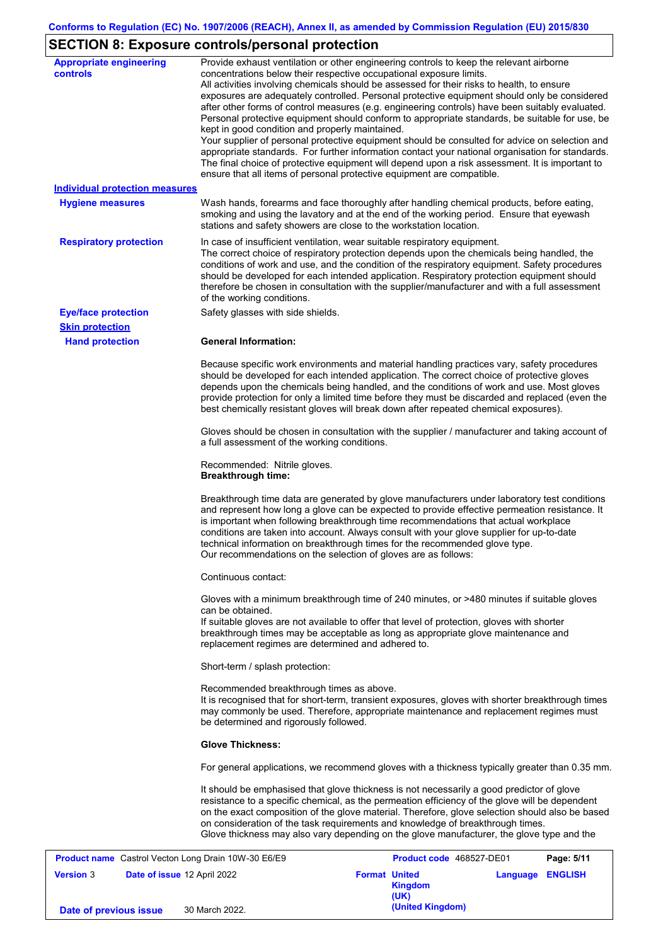# **SECTION 8: Exposure controls/personal protection**

| <b>Appropriate engineering</b><br>controls                 | Provide exhaust ventilation or other engineering controls to keep the relevant airborne<br>concentrations below their respective occupational exposure limits.<br>All activities involving chemicals should be assessed for their risks to health, to ensure<br>exposures are adequately controlled. Personal protective equipment should only be considered<br>after other forms of control measures (e.g. engineering controls) have been suitably evaluated.<br>Personal protective equipment should conform to appropriate standards, be suitable for use, be<br>kept in good condition and properly maintained.<br>Your supplier of personal protective equipment should be consulted for advice on selection and<br>appropriate standards. For further information contact your national organisation for standards.<br>The final choice of protective equipment will depend upon a risk assessment. It is important to<br>ensure that all items of personal protective equipment are compatible. |
|------------------------------------------------------------|---------------------------------------------------------------------------------------------------------------------------------------------------------------------------------------------------------------------------------------------------------------------------------------------------------------------------------------------------------------------------------------------------------------------------------------------------------------------------------------------------------------------------------------------------------------------------------------------------------------------------------------------------------------------------------------------------------------------------------------------------------------------------------------------------------------------------------------------------------------------------------------------------------------------------------------------------------------------------------------------------------|
| <b>Individual protection measures</b>                      |                                                                                                                                                                                                                                                                                                                                                                                                                                                                                                                                                                                                                                                                                                                                                                                                                                                                                                                                                                                                         |
| <b>Hygiene measures</b>                                    | Wash hands, forearms and face thoroughly after handling chemical products, before eating,<br>smoking and using the lavatory and at the end of the working period. Ensure that eyewash<br>stations and safety showers are close to the workstation location.                                                                                                                                                                                                                                                                                                                                                                                                                                                                                                                                                                                                                                                                                                                                             |
| <b>Respiratory protection</b>                              | In case of insufficient ventilation, wear suitable respiratory equipment.<br>The correct choice of respiratory protection depends upon the chemicals being handled, the<br>conditions of work and use, and the condition of the respiratory equipment. Safety procedures<br>should be developed for each intended application. Respiratory protection equipment should<br>therefore be chosen in consultation with the supplier/manufacturer and with a full assessment<br>of the working conditions.                                                                                                                                                                                                                                                                                                                                                                                                                                                                                                   |
| <b>Eye/face protection</b>                                 | Safety glasses with side shields.                                                                                                                                                                                                                                                                                                                                                                                                                                                                                                                                                                                                                                                                                                                                                                                                                                                                                                                                                                       |
| <b>Skin protection</b>                                     |                                                                                                                                                                                                                                                                                                                                                                                                                                                                                                                                                                                                                                                                                                                                                                                                                                                                                                                                                                                                         |
| <b>Hand protection</b>                                     | <b>General Information:</b>                                                                                                                                                                                                                                                                                                                                                                                                                                                                                                                                                                                                                                                                                                                                                                                                                                                                                                                                                                             |
|                                                            | Because specific work environments and material handling practices vary, safety procedures<br>should be developed for each intended application. The correct choice of protective gloves<br>depends upon the chemicals being handled, and the conditions of work and use. Most gloves<br>provide protection for only a limited time before they must be discarded and replaced (even the<br>best chemically resistant gloves will break down after repeated chemical exposures).                                                                                                                                                                                                                                                                                                                                                                                                                                                                                                                        |
|                                                            | Gloves should be chosen in consultation with the supplier / manufacturer and taking account of<br>a full assessment of the working conditions.                                                                                                                                                                                                                                                                                                                                                                                                                                                                                                                                                                                                                                                                                                                                                                                                                                                          |
|                                                            | Recommended: Nitrile gloves.<br><b>Breakthrough time:</b>                                                                                                                                                                                                                                                                                                                                                                                                                                                                                                                                                                                                                                                                                                                                                                                                                                                                                                                                               |
|                                                            | Breakthrough time data are generated by glove manufacturers under laboratory test conditions<br>and represent how long a glove can be expected to provide effective permeation resistance. It<br>is important when following breakthrough time recommendations that actual workplace<br>conditions are taken into account. Always consult with your glove supplier for up-to-date<br>technical information on breakthrough times for the recommended glove type.<br>Our recommendations on the selection of gloves are as follows:                                                                                                                                                                                                                                                                                                                                                                                                                                                                      |
|                                                            | Continuous contact:                                                                                                                                                                                                                                                                                                                                                                                                                                                                                                                                                                                                                                                                                                                                                                                                                                                                                                                                                                                     |
|                                                            | Gloves with a minimum breakthrough time of 240 minutes, or >480 minutes if suitable gloves<br>can be obtained.                                                                                                                                                                                                                                                                                                                                                                                                                                                                                                                                                                                                                                                                                                                                                                                                                                                                                          |
|                                                            | If suitable gloves are not available to offer that level of protection, gloves with shorter<br>breakthrough times may be acceptable as long as appropriate glove maintenance and<br>replacement regimes are determined and adhered to.                                                                                                                                                                                                                                                                                                                                                                                                                                                                                                                                                                                                                                                                                                                                                                  |
|                                                            | Short-term / splash protection:                                                                                                                                                                                                                                                                                                                                                                                                                                                                                                                                                                                                                                                                                                                                                                                                                                                                                                                                                                         |
|                                                            | Recommended breakthrough times as above.<br>It is recognised that for short-term, transient exposures, gloves with shorter breakthrough times<br>may commonly be used. Therefore, appropriate maintenance and replacement regimes must<br>be determined and rigorously followed.                                                                                                                                                                                                                                                                                                                                                                                                                                                                                                                                                                                                                                                                                                                        |
|                                                            | <b>Glove Thickness:</b>                                                                                                                                                                                                                                                                                                                                                                                                                                                                                                                                                                                                                                                                                                                                                                                                                                                                                                                                                                                 |
|                                                            | For general applications, we recommend gloves with a thickness typically greater than 0.35 mm.                                                                                                                                                                                                                                                                                                                                                                                                                                                                                                                                                                                                                                                                                                                                                                                                                                                                                                          |
|                                                            | It should be emphasised that glove thickness is not necessarily a good predictor of glove<br>resistance to a specific chemical, as the permeation efficiency of the glove will be dependent<br>on the exact composition of the glove material. Therefore, glove selection should also be based<br>on consideration of the task requirements and knowledge of breakthrough times.<br>Glove thickness may also vary depending on the glove manufacturer, the glove type and the                                                                                                                                                                                                                                                                                                                                                                                                                                                                                                                           |
| <b>Product name</b> Castrol Vecton Long Drain 10W-30 E6/E9 | Product code 468527-DE01<br>Page: 5/11                                                                                                                                                                                                                                                                                                                                                                                                                                                                                                                                                                                                                                                                                                                                                                                                                                                                                                                                                                  |
|                                                            |                                                                                                                                                                                                                                                                                                                                                                                                                                                                                                                                                                                                                                                                                                                                                                                                                                                                                                                                                                                                         |

|                        | <b>Product name</b> Castrol Vecton Long Drain 10W-30 E6/E9 | <b>Product code</b> 468527-DE01         |                         | Page: 5/11 |
|------------------------|------------------------------------------------------------|-----------------------------------------|-------------------------|------------|
| <b>Version 3</b>       | Date of issue 12 April 2022                                | <b>Format United</b><br>Kingdom<br>(UK) | <b>Language ENGLISH</b> |            |
| Date of previous issue | 30 March 2022.                                             | (United Kingdom)                        |                         |            |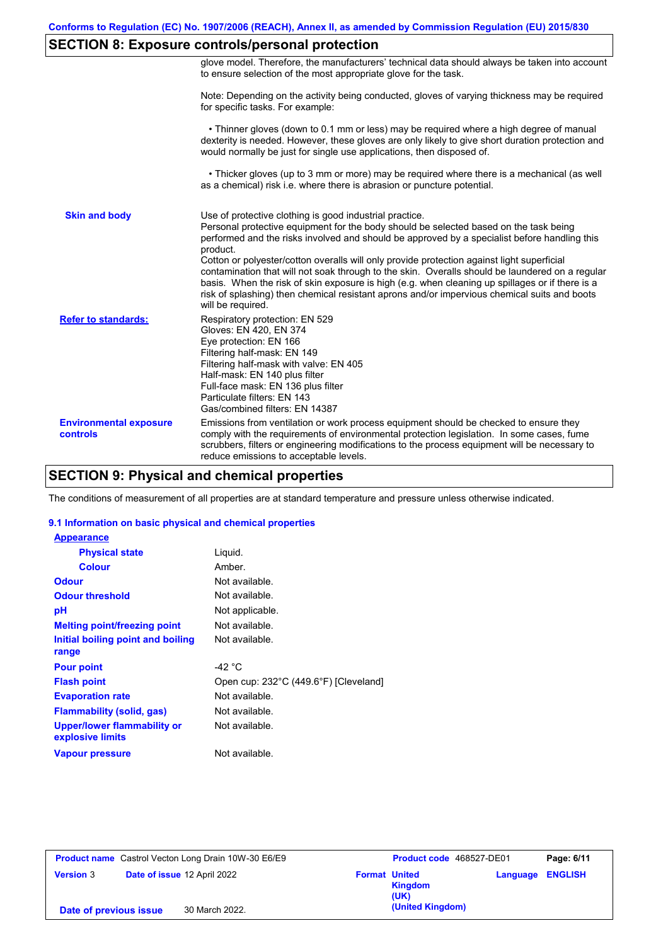# **SECTION 8: Exposure controls/personal protection**

|                                           | glove model. Therefore, the manufacturers' technical data should always be taken into account<br>to ensure selection of the most appropriate glove for the task.                                                                                                                                                                                                                                                                                                                                                                                                                                                                                                                      |
|-------------------------------------------|---------------------------------------------------------------------------------------------------------------------------------------------------------------------------------------------------------------------------------------------------------------------------------------------------------------------------------------------------------------------------------------------------------------------------------------------------------------------------------------------------------------------------------------------------------------------------------------------------------------------------------------------------------------------------------------|
|                                           | Note: Depending on the activity being conducted, gloves of varying thickness may be required<br>for specific tasks. For example:                                                                                                                                                                                                                                                                                                                                                                                                                                                                                                                                                      |
|                                           | • Thinner gloves (down to 0.1 mm or less) may be required where a high degree of manual<br>dexterity is needed. However, these gloves are only likely to give short duration protection and<br>would normally be just for single use applications, then disposed of.                                                                                                                                                                                                                                                                                                                                                                                                                  |
|                                           | • Thicker gloves (up to 3 mm or more) may be required where there is a mechanical (as well<br>as a chemical) risk i.e. where there is abrasion or puncture potential.                                                                                                                                                                                                                                                                                                                                                                                                                                                                                                                 |
| <b>Skin and body</b>                      | Use of protective clothing is good industrial practice.<br>Personal protective equipment for the body should be selected based on the task being<br>performed and the risks involved and should be approved by a specialist before handling this<br>product.<br>Cotton or polyester/cotton overalls will only provide protection against light superficial<br>contamination that will not soak through to the skin. Overalls should be laundered on a regular<br>basis. When the risk of skin exposure is high (e.g. when cleaning up spillages or if there is a<br>risk of splashing) then chemical resistant aprons and/or impervious chemical suits and boots<br>will be required. |
| <b>Refer to standards:</b>                | Respiratory protection: EN 529<br>Gloves: EN 420, EN 374<br>Eye protection: EN 166<br>Filtering half-mask: EN 149<br>Filtering half-mask with valve: EN 405<br>Half-mask: EN 140 plus filter<br>Full-face mask: EN 136 plus filter<br>Particulate filters: EN 143<br>Gas/combined filters: EN 14387                                                                                                                                                                                                                                                                                                                                                                                   |
| <b>Environmental exposure</b><br>controls | Emissions from ventilation or work process equipment should be checked to ensure they<br>comply with the requirements of environmental protection legislation. In some cases, fume<br>scrubbers, filters or engineering modifications to the process equipment will be necessary to<br>reduce emissions to acceptable levels.                                                                                                                                                                                                                                                                                                                                                         |

# **SECTION 9: Physical and chemical properties**

The conditions of measurement of all properties are at standard temperature and pressure unless otherwise indicated.

### **9.1 Information on basic physical and chemical properties**

| <b>Appearance</b>                                      |                                       |
|--------------------------------------------------------|---------------------------------------|
| <b>Physical state</b>                                  | Liguid.                               |
| <b>Colour</b>                                          | Amber.                                |
| <b>Odour</b>                                           | Not available.                        |
| <b>Odour threshold</b>                                 | Not available.                        |
| рH                                                     | Not applicable.                       |
| <b>Melting point/freezing point</b>                    | Not available.                        |
| Initial boiling point and boiling                      | Not available.                        |
| range                                                  |                                       |
| <b>Pour point</b>                                      | -42 $^{\circ}$ C                      |
| <b>Flash point</b>                                     | Open cup: 232°C (449.6°F) [Cleveland] |
| <b>Evaporation rate</b>                                | Not available.                        |
| Flammability (solid, gas)                              | Not available.                        |
| <b>Upper/lower flammability or</b><br>explosive limits | Not available.                        |
| Vapour pressure                                        | Not available.                        |

| <b>Product name</b> Castrol Vecton Long Drain 10W-30 E6/E9 |  | Product code 468527-DE01    |                      | Page: 6/11       |                         |  |
|------------------------------------------------------------|--|-----------------------------|----------------------|------------------|-------------------------|--|
| <b>Version 3</b>                                           |  | Date of issue 12 April 2022 | <b>Format United</b> | Kingdom<br>(UK)  | <b>Language ENGLISH</b> |  |
| Date of previous issue                                     |  | 30 March 2022.              |                      | (United Kingdom) |                         |  |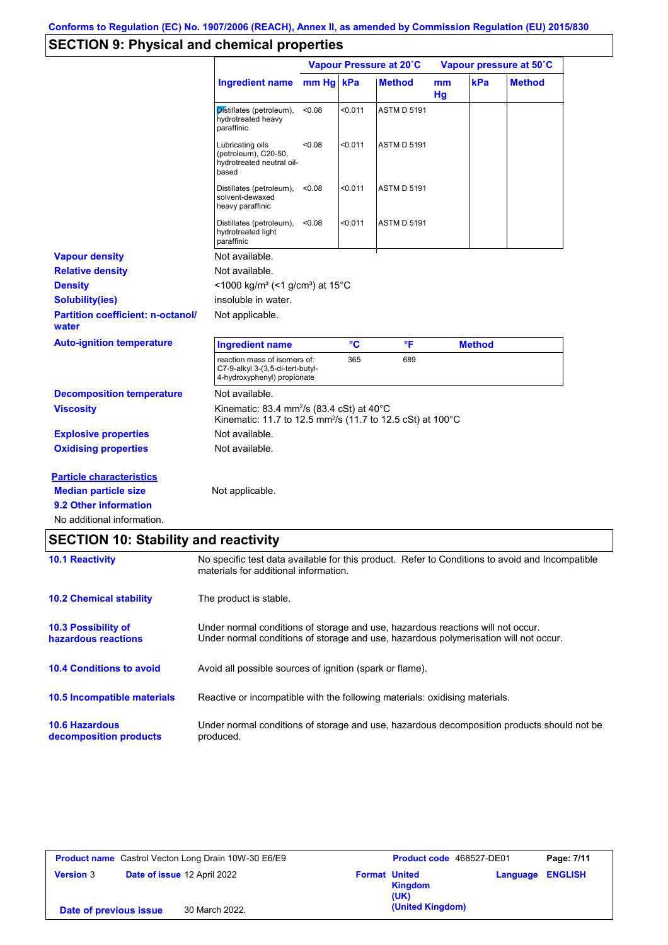# **SECTION 9: Physical and chemical properties**

|                                                   |                                                                                                                                            | Vapour Pressure at 20°C |         |                    | Vapour pressure at 50°C |               |               |
|---------------------------------------------------|--------------------------------------------------------------------------------------------------------------------------------------------|-------------------------|---------|--------------------|-------------------------|---------------|---------------|
|                                                   | <b>Ingredient name</b>                                                                                                                     | $mm Hg$ kPa             |         | <b>Method</b>      | m <sub>m</sub><br>Hg    | kPa           | <b>Method</b> |
|                                                   | Distillates (petroleum),<br>hydrotreated heavy<br>paraffinic                                                                               | < 0.08                  | < 0.011 | <b>ASTM D 5191</b> |                         |               |               |
|                                                   | Lubricating oils<br>(petroleum), C20-50,<br>hydrotreated neutral oil-<br>based                                                             | < 0.08                  | < 0.011 | <b>ASTM D 5191</b> |                         |               |               |
|                                                   | Distillates (petroleum),<br>solvent-dewaxed<br>heavy paraffinic                                                                            | < 0.08                  | < 0.011 | <b>ASTM D 5191</b> |                         |               |               |
|                                                   | Distillates (petroleum),<br>hydrotreated light<br>paraffinic                                                                               | < 0.08                  | < 0.011 | <b>ASTM D 5191</b> |                         |               |               |
| <b>Vapour density</b>                             | Not available.                                                                                                                             |                         |         |                    |                         |               |               |
| <b>Relative density</b>                           | Not available.                                                                                                                             |                         |         |                    |                         |               |               |
| <b>Density</b>                                    | <1000 kg/m <sup>3</sup> (<1 g/cm <sup>3</sup> ) at 15 <sup>°</sup> C                                                                       |                         |         |                    |                         |               |               |
| <b>Solubility(ies)</b>                            | insoluble in water.                                                                                                                        |                         |         |                    |                         |               |               |
| <b>Partition coefficient: n-octanol/</b><br>water | Not applicable.                                                                                                                            |                         |         |                    |                         |               |               |
| <b>Auto-ignition temperature</b>                  | <b>Ingredient name</b>                                                                                                                     |                         | °C      | °F                 |                         | <b>Method</b> |               |
|                                                   | reaction mass of isomers of:<br>C7-9-alkyl 3-(3,5-di-tert-butyl-<br>4-hydroxyphenyl) propionate                                            |                         | 365     | 689                |                         |               |               |
| <b>Decomposition temperature</b>                  | Not available.                                                                                                                             |                         |         |                    |                         |               |               |
| <b>Viscosity</b>                                  | Kinematic: 83.4 mm <sup>2</sup> /s (83.4 cSt) at 40 $^{\circ}$ C<br>Kinematic: 11.7 to 12.5 mm <sup>2</sup> /s (11.7 to 12.5 cSt) at 100°C |                         |         |                    |                         |               |               |
| <b>Explosive properties</b>                       | Not available.                                                                                                                             |                         |         |                    |                         |               |               |
| <b>Oxidising properties</b>                       | Not available.                                                                                                                             |                         |         |                    |                         |               |               |
| <b>Particle characteristics</b>                   |                                                                                                                                            |                         |         |                    |                         |               |               |
| <b>Median particle size</b>                       | Not applicable.                                                                                                                            |                         |         |                    |                         |               |               |
| 9.2 Other information                             |                                                                                                                                            |                         |         |                    |                         |               |               |
| No additional information.                        |                                                                                                                                            |                         |         |                    |                         |               |               |

# **SECTION 10: Stability and reactivity**

| <b>10.1 Reactivity</b>                            | No specific test data available for this product. Refer to Conditions to avoid and Incompatible<br>materials for additional information.                                |
|---------------------------------------------------|-------------------------------------------------------------------------------------------------------------------------------------------------------------------------|
| <b>10.2 Chemical stability</b>                    | The product is stable.                                                                                                                                                  |
| <b>10.3 Possibility of</b><br>hazardous reactions | Under normal conditions of storage and use, hazardous reactions will not occur.<br>Under normal conditions of storage and use, hazardous polymerisation will not occur. |
| <b>10.4 Conditions to avoid</b>                   | Avoid all possible sources of ignition (spark or flame).                                                                                                                |
| 10.5 Incompatible materials                       | Reactive or incompatible with the following materials: oxidising materials.                                                                                             |
| <b>10.6 Hazardous</b><br>decomposition products   | Under normal conditions of storage and use, hazardous decomposition products should not be<br>produced.                                                                 |

| <b>Product name</b> Castrol Vecton Long Drain 10W-30 E6/E9 |                             | Product code 468527-DE01 |                        | Page: 7/11 |                |
|------------------------------------------------------------|-----------------------------|--------------------------|------------------------|------------|----------------|
| <b>Version 3</b>                                           | Date of issue 12 April 2022 | <b>Format United</b>     | <b>Kingdom</b><br>(UK) | Language   | <b>ENGLISH</b> |
| Date of previous issue                                     | 30 March 2022.              |                          | (United Kingdom)       |            |                |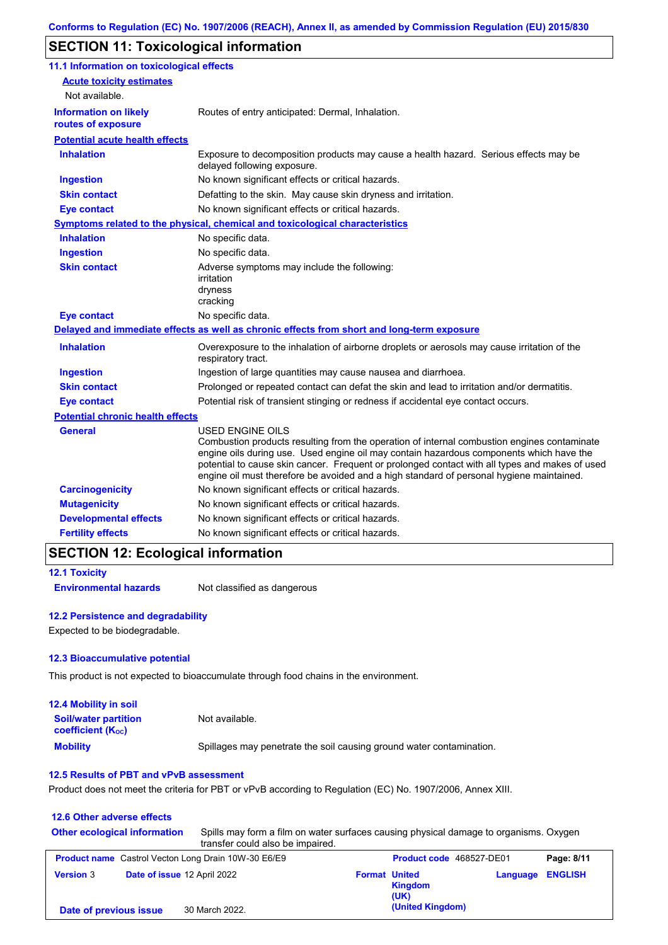# **SECTION 11: Toxicological information**

| 11.1 Information on toxicological effects          |                                                                                                                                                                                                                                                                                                                                                                                                          |
|----------------------------------------------------|----------------------------------------------------------------------------------------------------------------------------------------------------------------------------------------------------------------------------------------------------------------------------------------------------------------------------------------------------------------------------------------------------------|
| <b>Acute toxicity estimates</b><br>Not available.  |                                                                                                                                                                                                                                                                                                                                                                                                          |
| <b>Information on likely</b><br>routes of exposure | Routes of entry anticipated: Dermal, Inhalation.                                                                                                                                                                                                                                                                                                                                                         |
| <b>Potential acute health effects</b>              |                                                                                                                                                                                                                                                                                                                                                                                                          |
| <b>Inhalation</b>                                  | Exposure to decomposition products may cause a health hazard. Serious effects may be<br>delayed following exposure.                                                                                                                                                                                                                                                                                      |
| <b>Ingestion</b>                                   | No known significant effects or critical hazards.                                                                                                                                                                                                                                                                                                                                                        |
| <b>Skin contact</b>                                | Defatting to the skin. May cause skin dryness and irritation.                                                                                                                                                                                                                                                                                                                                            |
| <b>Eye contact</b>                                 | No known significant effects or critical hazards.                                                                                                                                                                                                                                                                                                                                                        |
|                                                    | Symptoms related to the physical, chemical and toxicological characteristics                                                                                                                                                                                                                                                                                                                             |
| <b>Inhalation</b>                                  | No specific data.                                                                                                                                                                                                                                                                                                                                                                                        |
| <b>Ingestion</b>                                   | No specific data.                                                                                                                                                                                                                                                                                                                                                                                        |
| <b>Skin contact</b>                                | Adverse symptoms may include the following:<br>irritation<br>dryness<br>cracking                                                                                                                                                                                                                                                                                                                         |
| <b>Eye contact</b>                                 | No specific data.                                                                                                                                                                                                                                                                                                                                                                                        |
|                                                    | Delayed and immediate effects as well as chronic effects from short and long-term exposure                                                                                                                                                                                                                                                                                                               |
| <b>Inhalation</b>                                  | Overexposure to the inhalation of airborne droplets or aerosols may cause irritation of the<br>respiratory tract.                                                                                                                                                                                                                                                                                        |
| <b>Ingestion</b>                                   | Ingestion of large quantities may cause nausea and diarrhoea.                                                                                                                                                                                                                                                                                                                                            |
| <b>Skin contact</b>                                | Prolonged or repeated contact can defat the skin and lead to irritation and/or dermatitis.                                                                                                                                                                                                                                                                                                               |
| <b>Eye contact</b>                                 | Potential risk of transient stinging or redness if accidental eye contact occurs.                                                                                                                                                                                                                                                                                                                        |
| <b>Potential chronic health effects</b>            |                                                                                                                                                                                                                                                                                                                                                                                                          |
| General                                            | USED ENGINE OILS<br>Combustion products resulting from the operation of internal combustion engines contaminate<br>engine oils during use. Used engine oil may contain hazardous components which have the<br>potential to cause skin cancer. Frequent or prolonged contact with all types and makes of used<br>engine oil must therefore be avoided and a high standard of personal hygiene maintained. |
| <b>Carcinogenicity</b>                             | No known significant effects or critical hazards.                                                                                                                                                                                                                                                                                                                                                        |
| <b>Mutagenicity</b>                                | No known significant effects or critical hazards.                                                                                                                                                                                                                                                                                                                                                        |
| <b>Developmental effects</b>                       | No known significant effects or critical hazards.                                                                                                                                                                                                                                                                                                                                                        |
| <b>Fertility effects</b>                           | No known significant effects or critical hazards.                                                                                                                                                                                                                                                                                                                                                        |

## **SECTION 12: Ecological information**

```
12.1 Toxicity
```
**Environmental hazards** Not classified as dangerous

### **12.2 Persistence and degradability**

Expected to be biodegradable.

### **12.3 Bioaccumulative potential**

This product is not expected to bioaccumulate through food chains in the environment.

| <b>12.4 Mobility in soil</b>                                  |                                                                      |
|---------------------------------------------------------------|----------------------------------------------------------------------|
| <b>Soil/water partition</b><br>coefficient (K <sub>oc</sub> ) | Not available.                                                       |
| <b>Mobility</b>                                               | Spillages may penetrate the soil causing ground water contamination. |

#### **12.5 Results of PBT and vPvB assessment**

Product does not meet the criteria for PBT or vPvB according to Regulation (EC) No. 1907/2006, Annex XIII.

| 12.6 Other adverse effects |                                     |                                                                                                                           |                      |                          |          |                |
|----------------------------|-------------------------------------|---------------------------------------------------------------------------------------------------------------------------|----------------------|--------------------------|----------|----------------|
|                            | <b>Other ecological information</b> | Spills may form a film on water surfaces causing physical damage to organisms. Oxygen<br>transfer could also be impaired. |                      |                          |          |                |
|                            |                                     | <b>Product name</b> Castrol Vecton Long Drain 10W-30 E6/E9                                                                |                      | Product code 468527-DE01 |          | Page: 8/11     |
| <b>Version 3</b>           | Date of issue 12 April 2022         |                                                                                                                           | <b>Format United</b> | <b>Kingdom</b><br>(UK)   | Language | <b>ENGLISH</b> |
| Date of previous issue     |                                     | 30 March 2022.                                                                                                            |                      | (United Kingdom)         |          |                |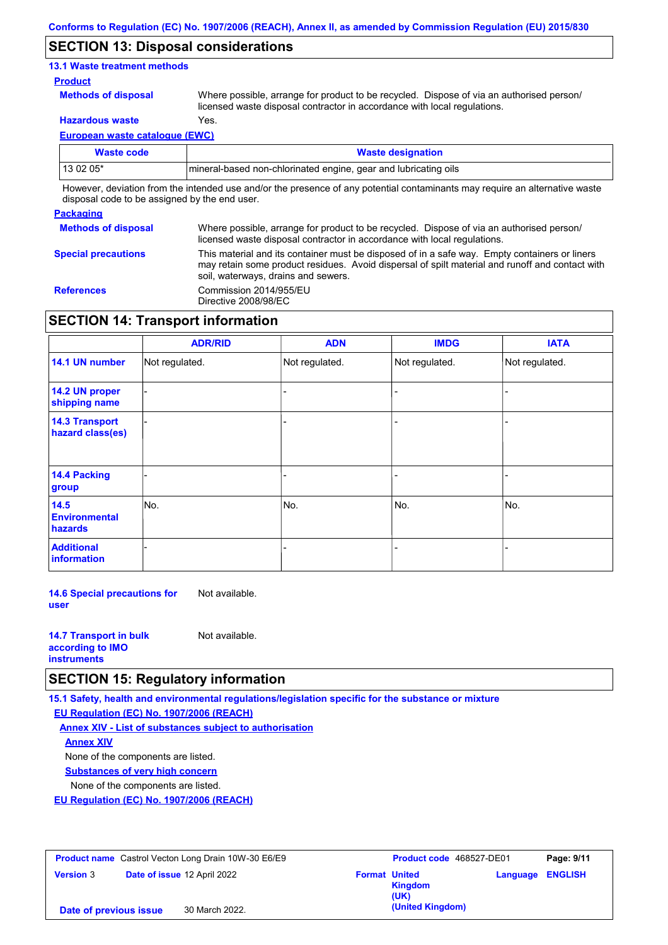## **SECTION 13: Disposal considerations**

### **13.1 Waste treatment methods**

#### **Product**

**Methods of disposal**

Where possible, arrange for product to be recycled. Dispose of via an authorised person/ licensed waste disposal contractor in accordance with local regulations.

**Hazardous waste** Yes.

**European waste catalogue (EWC)**

| Waste code | <b>Waste designation</b>                                                                                                    |
|------------|-----------------------------------------------------------------------------------------------------------------------------|
| 13 02 05*  | mineral-based non-chlorinated engine, gear and lubricating oils                                                             |
|            | However, deviation from the intended use and/or the presence of any potential contaminants may require an alternative waste |

disposal code to be assigned by the end user.

## **Packaging**

| <b>Methods of disposal</b> | Where possible, arrange for product to be recycled. Dispose of via an authorised person/<br>licensed waste disposal contractor in accordance with local regulations.                                                                    |
|----------------------------|-----------------------------------------------------------------------------------------------------------------------------------------------------------------------------------------------------------------------------------------|
| <b>Special precautions</b> | This material and its container must be disposed of in a safe way. Empty containers or liners<br>may retain some product residues. Avoid dispersal of spilt material and runoff and contact with<br>soil, waterways, drains and sewers. |
| <b>References</b>          | Commission 2014/955/EU<br>Directive 2008/98/EC                                                                                                                                                                                          |

## **SECTION 14: Transport information**

|                                           | <b>ADR/RID</b> | <b>ADN</b>     | <b>IMDG</b>    | <b>IATA</b>    |
|-------------------------------------------|----------------|----------------|----------------|----------------|
| 14.1 UN number                            | Not regulated. | Not regulated. | Not regulated. | Not regulated. |
| 14.2 UN proper<br>shipping name           |                |                |                |                |
| <b>14.3 Transport</b><br>hazard class(es) |                |                |                |                |
| 14.4 Packing<br>group                     |                |                |                |                |
| 14.5<br><b>Environmental</b><br>hazards   | No.            | No.            | No.            | No.            |
| <b>Additional</b><br>information          |                |                |                |                |

**14.6 Special precautions for user** Not available.

| <b>14.7 Transport in bulk</b> | Not available. |
|-------------------------------|----------------|
| according to <b>IMO</b>       |                |
| <b>instruments</b>            |                |

## **SECTION 15: Regulatory information**

**15.1 Safety, health and environmental regulations/legislation specific for the substance or mixture**

**EU Regulation (EC) No. 1907/2006 (REACH)**

**Annex XIV - List of substances subject to authorisation Substances of very high concern** None of the components are listed. None of the components are listed. **Annex XIV**

**EU Regulation (EC) No. 1907/2006 (REACH)**

|                        | <b>Product name</b> Castrol Vecton Long Drain 10W-30 E6/E9 | <b>Product code</b> 468527-DE01<br>Page: 9/11                             |
|------------------------|------------------------------------------------------------|---------------------------------------------------------------------------|
| <b>Version 3</b>       | Date of issue 12 April 2022                                | <b>Format United</b><br><b>Language ENGLISH</b><br><b>Kingdom</b><br>(UK) |
| Date of previous issue | 30 March 2022.                                             | (United Kingdom)                                                          |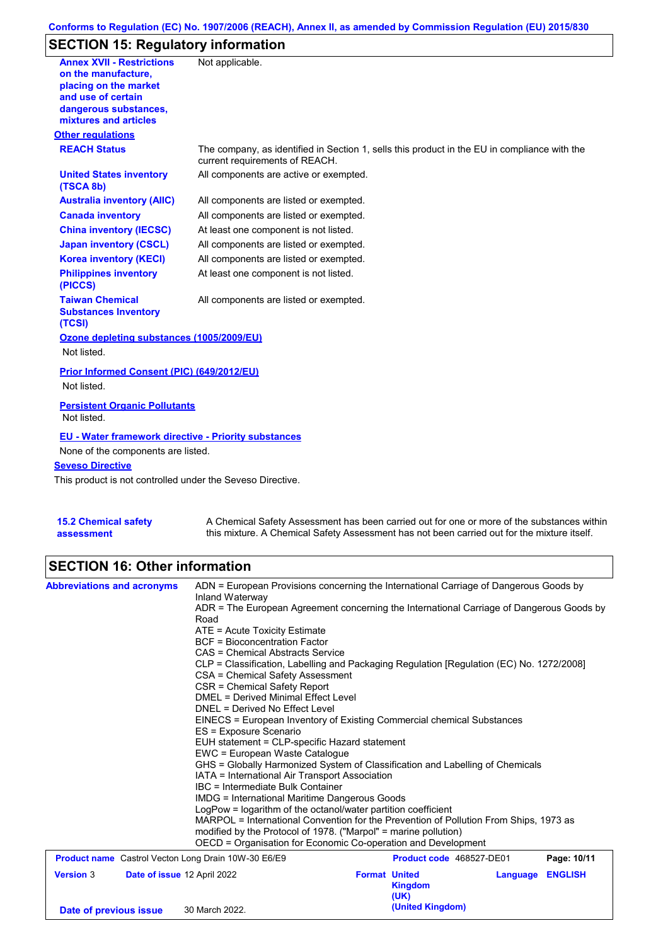## **Conforms to Regulation (EC) No. 1907/2006 (REACH), Annex II, as amended by Commission Regulation (EU) 2015/830**

# **SECTION 15: Regulatory information**

| <b>Annex XVII - Restrictions</b><br>on the manufacture.<br>placing on the market<br>and use of certain<br>dangerous substances,<br>mixtures and articles | Not applicable.                                                                                                                |
|----------------------------------------------------------------------------------------------------------------------------------------------------------|--------------------------------------------------------------------------------------------------------------------------------|
| <b>Other regulations</b>                                                                                                                                 |                                                                                                                                |
| <b>REACH Status</b>                                                                                                                                      | The company, as identified in Section 1, sells this product in the EU in compliance with the<br>current requirements of REACH. |
| <b>United States inventory</b><br>(TSCA 8b)                                                                                                              | All components are active or exempted.                                                                                         |
| <b>Australia inventory (AIIC)</b>                                                                                                                        | All components are listed or exempted.                                                                                         |
| <b>Canada inventory</b>                                                                                                                                  | All components are listed or exempted.                                                                                         |
| <b>China inventory (IECSC)</b>                                                                                                                           | At least one component is not listed.                                                                                          |
| <b>Japan inventory (CSCL)</b>                                                                                                                            | All components are listed or exempted.                                                                                         |
| <b>Korea inventory (KECI)</b>                                                                                                                            | All components are listed or exempted.                                                                                         |
| <b>Philippines inventory</b><br>(PICCS)                                                                                                                  | At least one component is not listed.                                                                                          |
| <b>Taiwan Chemical</b><br><b>Substances Inventory</b><br>(TCSI)                                                                                          | All components are listed or exempted.                                                                                         |
| Ozone depleting substances (1005/2009/EU)                                                                                                                |                                                                                                                                |
| Not listed.                                                                                                                                              |                                                                                                                                |
| Prior Informed Consent (PIC) (649/2012/EU)                                                                                                               |                                                                                                                                |
| Not listed.                                                                                                                                              |                                                                                                                                |
| <b>Persistent Organic Pollutants</b><br>Not listed.                                                                                                      |                                                                                                                                |
| <b>EU - Water framework directive - Priority substances</b>                                                                                              |                                                                                                                                |
| None of the components are listed.                                                                                                                       |                                                                                                                                |
| <b>Seveso Directive</b>                                                                                                                                  |                                                                                                                                |
| This product is not controlled under the Seveso Directive.                                                                                               |                                                                                                                                |
|                                                                                                                                                          |                                                                                                                                |
| <b>15.2 Chemical safety</b>                                                                                                                              | A Chemical Safety Assessment has been carried out for one or more of the substances within                                     |

| <b>15.2 Chemical safety</b> | A Chemical Safety Assessment has been carried out for one or more of the substances within  |
|-----------------------------|---------------------------------------------------------------------------------------------|
| assessment                  | this mixture. A Chemical Safety Assessment has not been carried out for the mixture itself. |

# **SECTION 16: Other information**

| <b>Abbreviations and acronyms</b>                          | ADN = European Provisions concerning the International Carriage of Dangerous Goods by                       |                                               |                          |                |  |  |  |
|------------------------------------------------------------|-------------------------------------------------------------------------------------------------------------|-----------------------------------------------|--------------------------|----------------|--|--|--|
|                                                            | Inland Waterway<br>ADR = The European Agreement concerning the International Carriage of Dangerous Goods by |                                               |                          |                |  |  |  |
|                                                            | Road                                                                                                        |                                               |                          |                |  |  |  |
|                                                            | ATE = Acute Toxicity Estimate                                                                               |                                               |                          |                |  |  |  |
|                                                            | <b>BCF</b> = Bioconcentration Factor                                                                        |                                               |                          |                |  |  |  |
|                                                            | CAS = Chemical Abstracts Service                                                                            |                                               |                          |                |  |  |  |
|                                                            | CLP = Classification, Labelling and Packaging Regulation [Regulation (EC) No. 1272/2008]                    |                                               |                          |                |  |  |  |
|                                                            | CSA = Chemical Safety Assessment                                                                            |                                               |                          |                |  |  |  |
|                                                            | CSR = Chemical Safety Report                                                                                |                                               |                          |                |  |  |  |
|                                                            | DMEL = Derived Minimal Effect Level                                                                         |                                               |                          |                |  |  |  |
|                                                            | DNEL = Derived No Effect Level                                                                              |                                               |                          |                |  |  |  |
|                                                            | EINECS = European Inventory of Existing Commercial chemical Substances<br>ES = Exposure Scenario            |                                               |                          |                |  |  |  |
|                                                            |                                                                                                             | EUH statement = CLP-specific Hazard statement |                          |                |  |  |  |
|                                                            | EWC = European Waste Catalogue                                                                              |                                               |                          |                |  |  |  |
|                                                            | GHS = Globally Harmonized System of Classification and Labelling of Chemicals                               |                                               |                          |                |  |  |  |
|                                                            | IATA = International Air Transport Association                                                              |                                               |                          |                |  |  |  |
|                                                            | IBC = Intermediate Bulk Container                                                                           |                                               |                          |                |  |  |  |
|                                                            | IMDG = International Maritime Dangerous Goods                                                               |                                               |                          |                |  |  |  |
|                                                            | LogPow = logarithm of the octanol/water partition coefficient                                               |                                               |                          |                |  |  |  |
|                                                            | MARPOL = International Convention for the Prevention of Pollution From Ships, 1973 as                       |                                               |                          |                |  |  |  |
|                                                            | modified by the Protocol of 1978. ("Marpol" = marine pollution)                                             |                                               |                          |                |  |  |  |
|                                                            | OECD = Organisation for Economic Co-operation and Development                                               |                                               |                          |                |  |  |  |
| <b>Product name</b> Castrol Vecton Long Drain 10W-30 E6/E9 |                                                                                                             |                                               | Product code 468527-DE01 | Page: 10/11    |  |  |  |
| <b>Version 3</b><br>Date of issue 12 April 2022            |                                                                                                             | <b>Format United</b>                          | Language                 | <b>ENGLISH</b> |  |  |  |
|                                                            |                                                                                                             | <b>Kingdom</b>                                |                          |                |  |  |  |
|                                                            |                                                                                                             | (UK)                                          |                          |                |  |  |  |
| Date of previous issue                                     | 30 March 2022.                                                                                              | (United Kingdom)                              |                          |                |  |  |  |